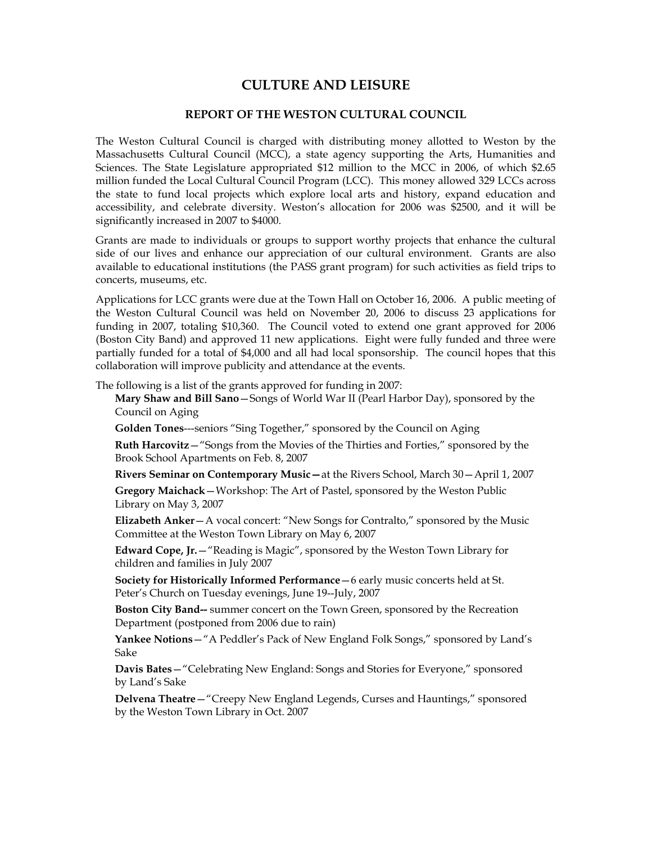# **CULTURE AND LEISURE**

# **REPORT OF THE WESTON CULTURAL COUNCIL**

The Weston Cultural Council is charged with distributing money allotted to Weston by the Massachusetts Cultural Council (MCC), a state agency supporting the Arts, Humanities and Sciences. The State Legislature appropriated \$12 million to the MCC in 2006, of which \$2.65 million funded the Local Cultural Council Program (LCC). This money allowed 329 LCCs across the state to fund local projects which explore local arts and history, expand education and accessibility, and celebrate diversity. Weston's allocation for 2006 was \$2500, and it will be significantly increased in 2007 to \$4000.

Grants are made to individuals or groups to support worthy projects that enhance the cultural side of our lives and enhance our appreciation of our cultural environment. Grants are also available to educational institutions (the PASS grant program) for such activities as field trips to concerts, museums, etc.

Applications for LCC grants were due at the Town Hall on October 16, 2006. A public meeting of the Weston Cultural Council was held on November 20, 2006 to discuss 23 applications for funding in 2007, totaling \$10,360. The Council voted to extend one grant approved for 2006 (Boston City Band) and approved 11 new applications. Eight were fully funded and three were partially funded for a total of \$4,000 and all had local sponsorship. The council hopes that this collaboration will improve publicity and attendance at the events.

The following is a list of the grants approved for funding in 2007:

**Mary Shaw and Bill Sano**—Songs of World War II (Pearl Harbor Day), sponsored by the Council on Aging

**Golden Tones**---seniors "Sing Together," sponsored by the Council on Aging

**Ruth Harcovitz**—"Songs from the Movies of the Thirties and Forties," sponsored by the Brook School Apartments on Feb. 8, 2007

**Rivers Seminar on Contemporary Music—**at the Rivers School, March 30—April 1, 2007

**Gregory Maichack**—Workshop: The Art of Pastel, sponsored by the Weston Public Library on May 3, 2007

**Elizabeth Anker**—A vocal concert: "New Songs for Contralto," sponsored by the Music Committee at the Weston Town Library on May 6, 2007

**Edward Cope, Jr.**—"Reading is Magic", sponsored by the Weston Town Library for children and families in July 2007

**Society for Historically Informed Performance**—6 early music concerts held at St. Peter's Church on Tuesday evenings, June 19--July, 2007

**Boston City Band--** summer concert on the Town Green, sponsored by the Recreation Department (postponed from 2006 due to rain)

**Yankee Notions**—"A Peddler's Pack of New England Folk Songs," sponsored by Land's Sake

**Davis Bates**—"Celebrating New England: Songs and Stories for Everyone," sponsored by Land's Sake

**Delvena Theatre**—"Creepy New England Legends, Curses and Hauntings," sponsored by the Weston Town Library in Oct. 2007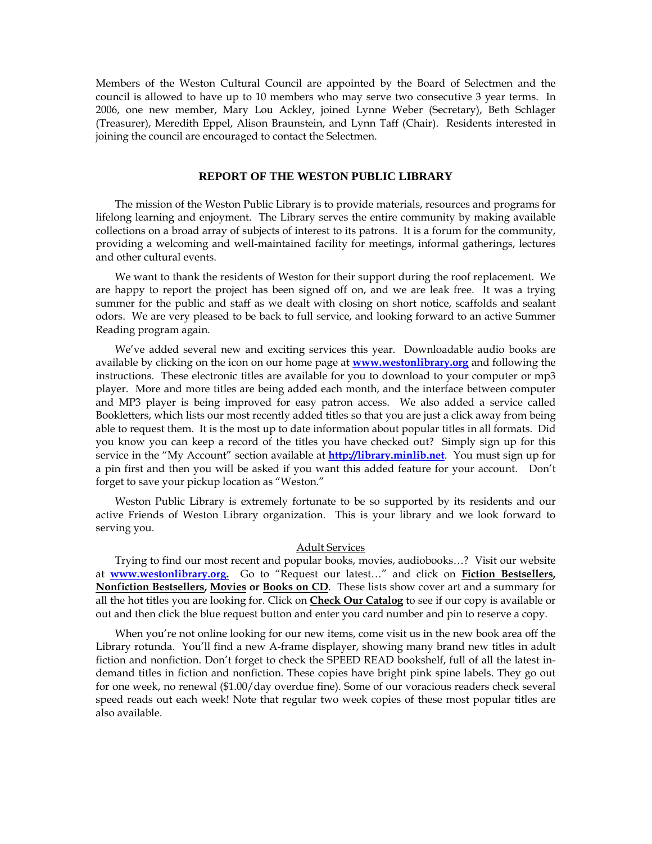Members of the Weston Cultural Council are appointed by the Board of Selectmen and the council is allowed to have up to 10 members who may serve two consecutive 3 year terms. In 2006, one new member, Mary Lou Ackley, joined Lynne Weber (Secretary), Beth Schlager (Treasurer), Meredith Eppel, Alison Braunstein, and Lynn Taff (Chair). Residents interested in joining the council are encouraged to contact the Selectmen.

### **REPORT OF THE WESTON PUBLIC LIBRARY**

The mission of the Weston Public Library is to provide materials, resources and programs for lifelong learning and enjoyment. The Library serves the entire community by making available collections on a broad array of subjects of interest to its patrons. It is a forum for the community, providing a welcoming and well-maintained facility for meetings, informal gatherings, lectures and other cultural events.

We want to thank the residents of Weston for their support during the roof replacement. We are happy to report the project has been signed off on, and we are leak free. It was a trying summer for the public and staff as we dealt with closing on short notice, scaffolds and sealant odors. We are very pleased to be back to full service, and looking forward to an active Summer Reading program again.

We've added several new and exciting services this year. Downloadable audio books are available by clicking on the icon on our home page at **www.westonlibrary.org** and following the instructions. These electronic titles are available for you to download to your computer or mp3 player. More and more titles are being added each month, and the interface between computer and MP3 player is being improved for easy patron access. We also added a service called Bookletters, which lists our most recently added titles so that you are just a click away from being able to request them. It is the most up to date information about popular titles in all formats. Did you know you can keep a record of the titles you have checked out? Simply sign up for this service in the "My Account" section available at **http://library.minlib.net**. You must sign up for a pin first and then you will be asked if you want this added feature for your account. Don't forget to save your pickup location as "Weston."

Weston Public Library is extremely fortunate to be so supported by its residents and our active Friends of Weston Library organization. This is your library and we look forward to serving you.

#### Adult Services

Trying to find our most recent and popular books, movies, audiobooks…? Visit our website at **www.westonlibrary.org.** Go to "Request our latest…" and click on **Fiction Bestsellers, Nonfiction Bestsellers, Movies or Books on CD**. These lists show cover art and a summary for all the hot titles you are looking for. Click on **Check Our Catalog** to see if our copy is available or out and then click the blue request button and enter you card number and pin to reserve a copy.

When you're not online looking for our new items, come visit us in the new book area off the Library rotunda. You'll find a new A-frame displayer, showing many brand new titles in adult fiction and nonfiction. Don't forget to check the SPEED READ bookshelf, full of all the latest indemand titles in fiction and nonfiction. These copies have bright pink spine labels. They go out for one week, no renewal (\$1.00/day overdue fine). Some of our voracious readers check several speed reads out each week! Note that regular two week copies of these most popular titles are also available.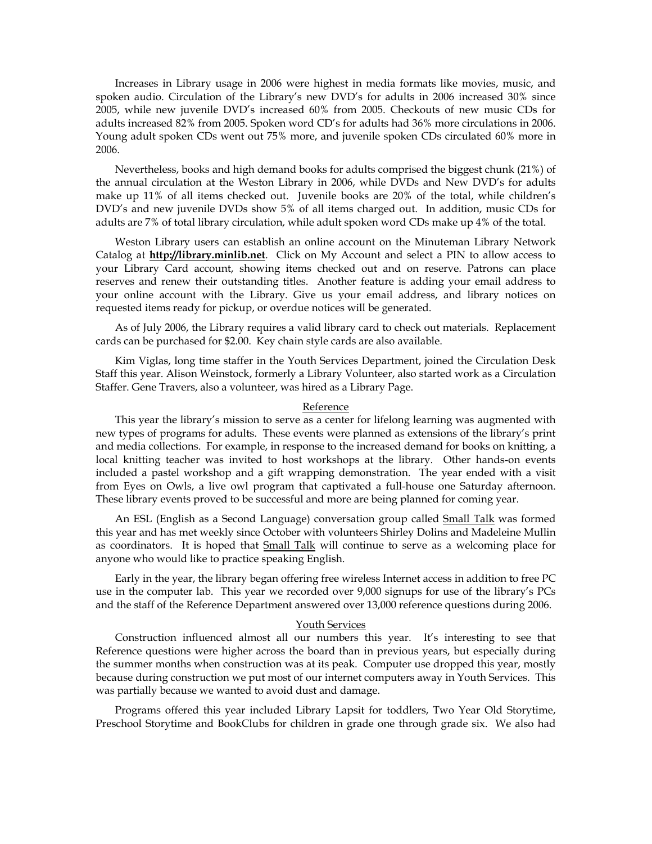Increases in Library usage in 2006 were highest in media formats like movies, music, and spoken audio. Circulation of the Library's new DVD's for adults in 2006 increased 30% since 2005, while new juvenile DVD's increased 60% from 2005. Checkouts of new music CDs for adults increased 82% from 2005. Spoken word CD's for adults had 36% more circulations in 2006. Young adult spoken CDs went out 75% more, and juvenile spoken CDs circulated 60% more in 2006.

Nevertheless, books and high demand books for adults comprised the biggest chunk (21%) of the annual circulation at the Weston Library in 2006, while DVDs and New DVD's for adults make up 11% of all items checked out. Juvenile books are 20% of the total, while children's DVD's and new juvenile DVDs show 5% of all items charged out. In addition, music CDs for adults are 7% of total library circulation, while adult spoken word CDs make up 4% of the total.

Weston Library users can establish an online account on the Minuteman Library Network Catalog at **http://library.minlib.net**. Click on My Account and select a PIN to allow access to your Library Card account, showing items checked out and on reserve. Patrons can place reserves and renew their outstanding titles. Another feature is adding your email address to your online account with the Library. Give us your email address, and library notices on requested items ready for pickup, or overdue notices will be generated.

As of July 2006, the Library requires a valid library card to check out materials. Replacement cards can be purchased for \$2.00. Key chain style cards are also available.

Kim Viglas, long time staffer in the Youth Services Department, joined the Circulation Desk Staff this year. Alison Weinstock, formerly a Library Volunteer, also started work as a Circulation Staffer. Gene Travers, also a volunteer, was hired as a Library Page.

#### Reference

This year the library's mission to serve as a center for lifelong learning was augmented with new types of programs for adults. These events were planned as extensions of the library's print and media collections. For example, in response to the increased demand for books on knitting, a local knitting teacher was invited to host workshops at the library. Other hands-on events included a pastel workshop and a gift wrapping demonstration. The year ended with a visit from Eyes on Owls, a live owl program that captivated a full-house one Saturday afternoon. These library events proved to be successful and more are being planned for coming year.

An ESL (English as a Second Language) conversation group called Small Talk was formed this year and has met weekly since October with volunteers Shirley Dolins and Madeleine Mullin as coordinators. It is hoped that **Small Talk** will continue to serve as a welcoming place for anyone who would like to practice speaking English.

Early in the year, the library began offering free wireless Internet access in addition to free PC use in the computer lab. This year we recorded over 9,000 signups for use of the library's PCs and the staff of the Reference Department answered over 13,000 reference questions during 2006.

#### Youth Services

Construction influenced almost all our numbers this year. It's interesting to see that Reference questions were higher across the board than in previous years, but especially during the summer months when construction was at its peak. Computer use dropped this year, mostly because during construction we put most of our internet computers away in Youth Services. This was partially because we wanted to avoid dust and damage.

Programs offered this year included Library Lapsit for toddlers, Two Year Old Storytime, Preschool Storytime and BookClubs for children in grade one through grade six. We also had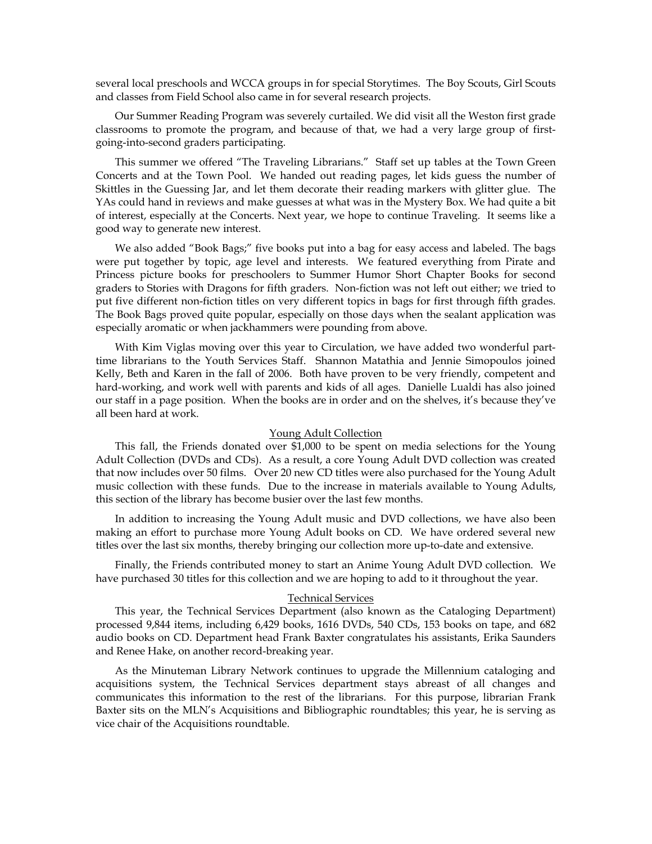several local preschools and WCCA groups in for special Storytimes. The Boy Scouts, Girl Scouts and classes from Field School also came in for several research projects.

Our Summer Reading Program was severely curtailed. We did visit all the Weston first grade classrooms to promote the program, and because of that, we had a very large group of firstgoing-into-second graders participating.

This summer we offered "The Traveling Librarians." Staff set up tables at the Town Green Concerts and at the Town Pool. We handed out reading pages, let kids guess the number of Skittles in the Guessing Jar, and let them decorate their reading markers with glitter glue. The YAs could hand in reviews and make guesses at what was in the Mystery Box. We had quite a bit of interest, especially at the Concerts. Next year, we hope to continue Traveling. It seems like a good way to generate new interest.

We also added "Book Bags;" five books put into a bag for easy access and labeled. The bags were put together by topic, age level and interests. We featured everything from Pirate and Princess picture books for preschoolers to Summer Humor Short Chapter Books for second graders to Stories with Dragons for fifth graders. Non-fiction was not left out either; we tried to put five different non-fiction titles on very different topics in bags for first through fifth grades. The Book Bags proved quite popular, especially on those days when the sealant application was especially aromatic or when jackhammers were pounding from above.

With Kim Viglas moving over this year to Circulation, we have added two wonderful parttime librarians to the Youth Services Staff. Shannon Matathia and Jennie Simopoulos joined Kelly, Beth and Karen in the fall of 2006. Both have proven to be very friendly, competent and hard-working, and work well with parents and kids of all ages. Danielle Lualdi has also joined our staff in a page position. When the books are in order and on the shelves, it's because they've all been hard at work.

#### Young Adult Collection

This fall, the Friends donated over \$1,000 to be spent on media selections for the Young Adult Collection (DVDs and CDs). As a result, a core Young Adult DVD collection was created that now includes over 50 films. Over 20 new CD titles were also purchased for the Young Adult music collection with these funds. Due to the increase in materials available to Young Adults, this section of the library has become busier over the last few months.

In addition to increasing the Young Adult music and DVD collections, we have also been making an effort to purchase more Young Adult books on CD. We have ordered several new titles over the last six months, thereby bringing our collection more up-to-date and extensive.

Finally, the Friends contributed money to start an Anime Young Adult DVD collection. We have purchased 30 titles for this collection and we are hoping to add to it throughout the year.

# Technical Services

This year, the Technical Services Department (also known as the Cataloging Department) processed 9,844 items, including 6,429 books, 1616 DVDs, 540 CDs, 153 books on tape, and 682 audio books on CD. Department head Frank Baxter congratulates his assistants, Erika Saunders and Renee Hake, on another record-breaking year.

As the Minuteman Library Network continues to upgrade the Millennium cataloging and acquisitions system, the Technical Services department stays abreast of all changes and communicates this information to the rest of the librarians. For this purpose, librarian Frank Baxter sits on the MLN's Acquisitions and Bibliographic roundtables; this year, he is serving as vice chair of the Acquisitions roundtable.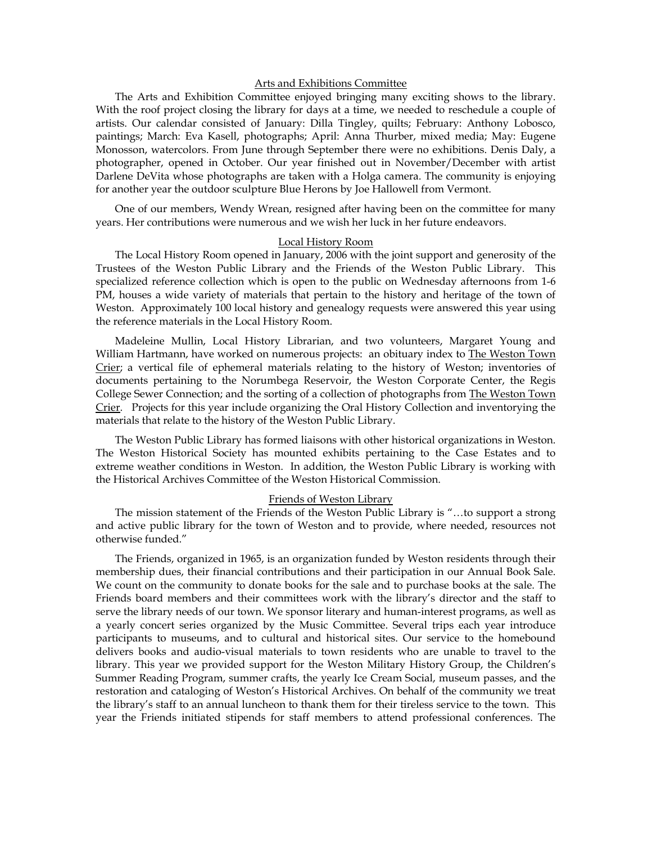### Arts and Exhibitions Committee

The Arts and Exhibition Committee enjoyed bringing many exciting shows to the library. With the roof project closing the library for days at a time, we needed to reschedule a couple of artists. Our calendar consisted of January: Dilla Tingley, quilts; February: Anthony Lobosco, paintings; March: Eva Kasell, photographs; April: Anna Thurber, mixed media; May: Eugene Monosson, watercolors. From June through September there were no exhibitions. Denis Daly, a photographer, opened in October. Our year finished out in November/December with artist Darlene DeVita whose photographs are taken with a Holga camera. The community is enjoying for another year the outdoor sculpture Blue Herons by Joe Hallowell from Vermont.

One of our members, Wendy Wrean, resigned after having been on the committee for many years. Her contributions were numerous and we wish her luck in her future endeavors.

#### Local History Room

The Local History Room opened in January, 2006 with the joint support and generosity of the Trustees of the Weston Public Library and the Friends of the Weston Public Library. This specialized reference collection which is open to the public on Wednesday afternoons from 1-6 PM, houses a wide variety of materials that pertain to the history and heritage of the town of Weston. Approximately 100 local history and genealogy requests were answered this year using the reference materials in the Local History Room.

Madeleine Mullin, Local History Librarian, and two volunteers, Margaret Young and William Hartmann, have worked on numerous projects: an obituary index to The Weston Town Crier; a vertical file of ephemeral materials relating to the history of Weston; inventories of documents pertaining to the Norumbega Reservoir, the Weston Corporate Center, the Regis College Sewer Connection; and the sorting of a collection of photographs from The Weston Town Crier. Projects for this year include organizing the Oral History Collection and inventorying the materials that relate to the history of the Weston Public Library.

The Weston Public Library has formed liaisons with other historical organizations in Weston. The Weston Historical Society has mounted exhibits pertaining to the Case Estates and to extreme weather conditions in Weston. In addition, the Weston Public Library is working with the Historical Archives Committee of the Weston Historical Commission.

#### Friends of Weston Library

The mission statement of the Friends of the Weston Public Library is "…to support a strong and active public library for the town of Weston and to provide, where needed, resources not otherwise funded."

The Friends, organized in 1965, is an organization funded by Weston residents through their membership dues, their financial contributions and their participation in our Annual Book Sale. We count on the community to donate books for the sale and to purchase books at the sale. The Friends board members and their committees work with the library's director and the staff to serve the library needs of our town. We sponsor literary and human-interest programs, as well as a yearly concert series organized by the Music Committee. Several trips each year introduce participants to museums, and to cultural and historical sites. Our service to the homebound delivers books and audio-visual materials to town residents who are unable to travel to the library. This year we provided support for the Weston Military History Group, the Children's Summer Reading Program, summer crafts, the yearly Ice Cream Social, museum passes, and the restoration and cataloging of Weston's Historical Archives. On behalf of the community we treat the library's staff to an annual luncheon to thank them for their tireless service to the town. This year the Friends initiated stipends for staff members to attend professional conferences. The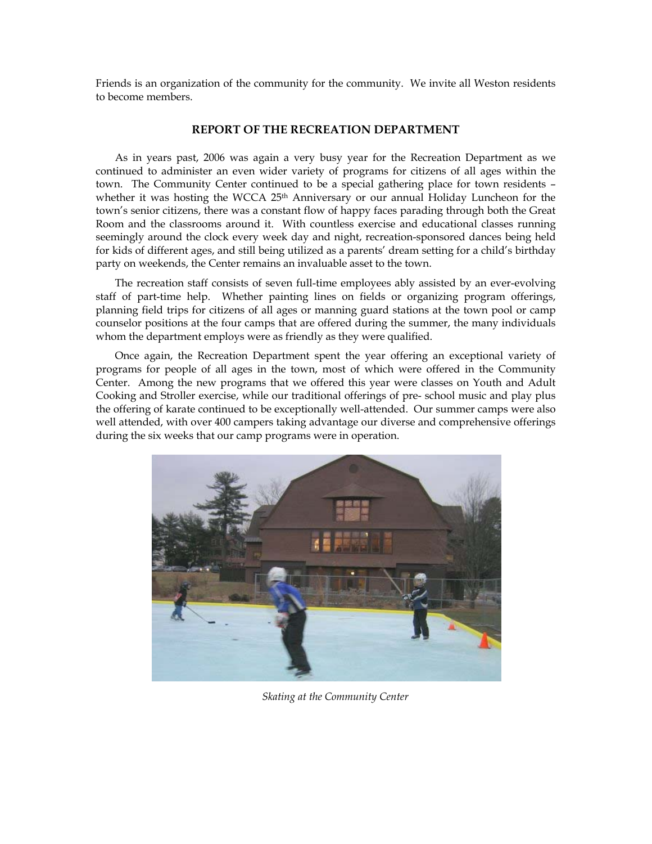Friends is an organization of the community for the community. We invite all Weston residents to become members.

# **REPORT OF THE RECREATION DEPARTMENT**

As in years past, 2006 was again a very busy year for the Recreation Department as we continued to administer an even wider variety of programs for citizens of all ages within the town. The Community Center continued to be a special gathering place for town residents – whether it was hosting the WCCA 25<sup>th</sup> Anniversary or our annual Holiday Luncheon for the town's senior citizens, there was a constant flow of happy faces parading through both the Great Room and the classrooms around it. With countless exercise and educational classes running seemingly around the clock every week day and night, recreation-sponsored dances being held for kids of different ages, and still being utilized as a parents' dream setting for a child's birthday party on weekends, the Center remains an invaluable asset to the town.

The recreation staff consists of seven full-time employees ably assisted by an ever-evolving staff of part-time help. Whether painting lines on fields or organizing program offerings, planning field trips for citizens of all ages or manning guard stations at the town pool or camp counselor positions at the four camps that are offered during the summer, the many individuals whom the department employs were as friendly as they were qualified.

Once again, the Recreation Department spent the year offering an exceptional variety of programs for people of all ages in the town, most of which were offered in the Community Center. Among the new programs that we offered this year were classes on Youth and Adult Cooking and Stroller exercise, while our traditional offerings of pre- school music and play plus the offering of karate continued to be exceptionally well-attended. Our summer camps were also well attended, with over 400 campers taking advantage our diverse and comprehensive offerings during the six weeks that our camp programs were in operation.



*Skating at the Community Center*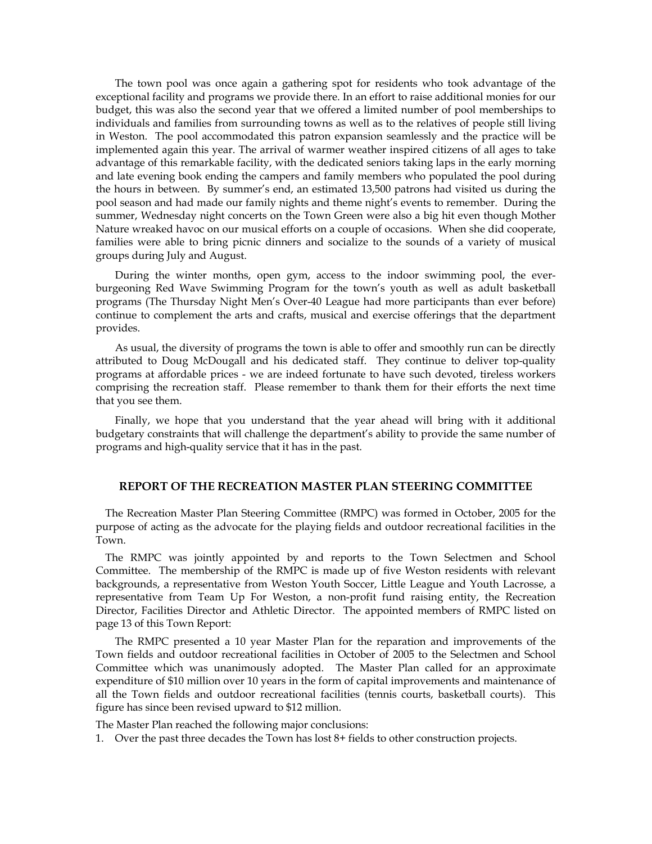The town pool was once again a gathering spot for residents who took advantage of the exceptional facility and programs we provide there. In an effort to raise additional monies for our budget, this was also the second year that we offered a limited number of pool memberships to individuals and families from surrounding towns as well as to the relatives of people still living in Weston. The pool accommodated this patron expansion seamlessly and the practice will be implemented again this year. The arrival of warmer weather inspired citizens of all ages to take advantage of this remarkable facility, with the dedicated seniors taking laps in the early morning and late evening book ending the campers and family members who populated the pool during the hours in between. By summer's end, an estimated 13,500 patrons had visited us during the pool season and had made our family nights and theme night's events to remember. During the summer, Wednesday night concerts on the Town Green were also a big hit even though Mother Nature wreaked havoc on our musical efforts on a couple of occasions. When she did cooperate, families were able to bring picnic dinners and socialize to the sounds of a variety of musical groups during July and August.

During the winter months, open gym, access to the indoor swimming pool, the everburgeoning Red Wave Swimming Program for the town's youth as well as adult basketball programs (The Thursday Night Men's Over-40 League had more participants than ever before) continue to complement the arts and crafts, musical and exercise offerings that the department provides.

As usual, the diversity of programs the town is able to offer and smoothly run can be directly attributed to Doug McDougall and his dedicated staff. They continue to deliver top-quality programs at affordable prices - we are indeed fortunate to have such devoted, tireless workers comprising the recreation staff. Please remember to thank them for their efforts the next time that you see them.

Finally, we hope that you understand that the year ahead will bring with it additional budgetary constraints that will challenge the department's ability to provide the same number of programs and high-quality service that it has in the past.

### **REPORT OF THE RECREATION MASTER PLAN STEERING COMMITTEE**

The Recreation Master Plan Steering Committee (RMPC) was formed in October, 2005 for the purpose of acting as the advocate for the playing fields and outdoor recreational facilities in the Town.

The RMPC was jointly appointed by and reports to the Town Selectmen and School Committee. The membership of the RMPC is made up of five Weston residents with relevant backgrounds, a representative from Weston Youth Soccer, Little League and Youth Lacrosse, a representative from Team Up For Weston, a non-profit fund raising entity, the Recreation Director, Facilities Director and Athletic Director. The appointed members of RMPC listed on page 13 of this Town Report:

The RMPC presented a 10 year Master Plan for the reparation and improvements of the Town fields and outdoor recreational facilities in October of 2005 to the Selectmen and School Committee which was unanimously adopted. The Master Plan called for an approximate expenditure of \$10 million over 10 years in the form of capital improvements and maintenance of all the Town fields and outdoor recreational facilities (tennis courts, basketball courts). This figure has since been revised upward to \$12 million.

The Master Plan reached the following major conclusions:

1. Over the past three decades the Town has lost 8+ fields to other construction projects.